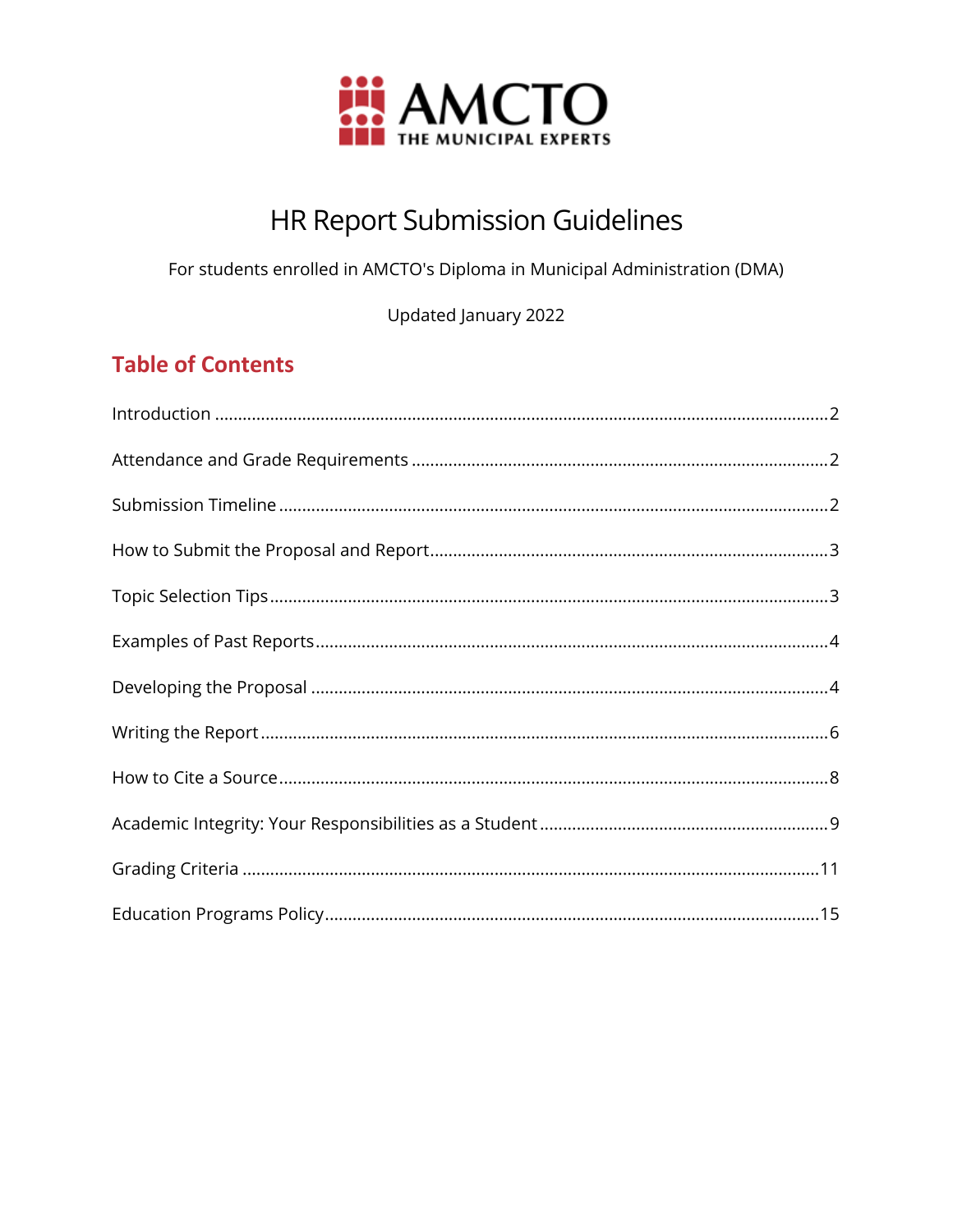

# HR Report Submission Guidelines

For students enrolled in AMCTO's Diploma in Municipal Administration (DMA)

Updated January 2022

# **Table of Contents**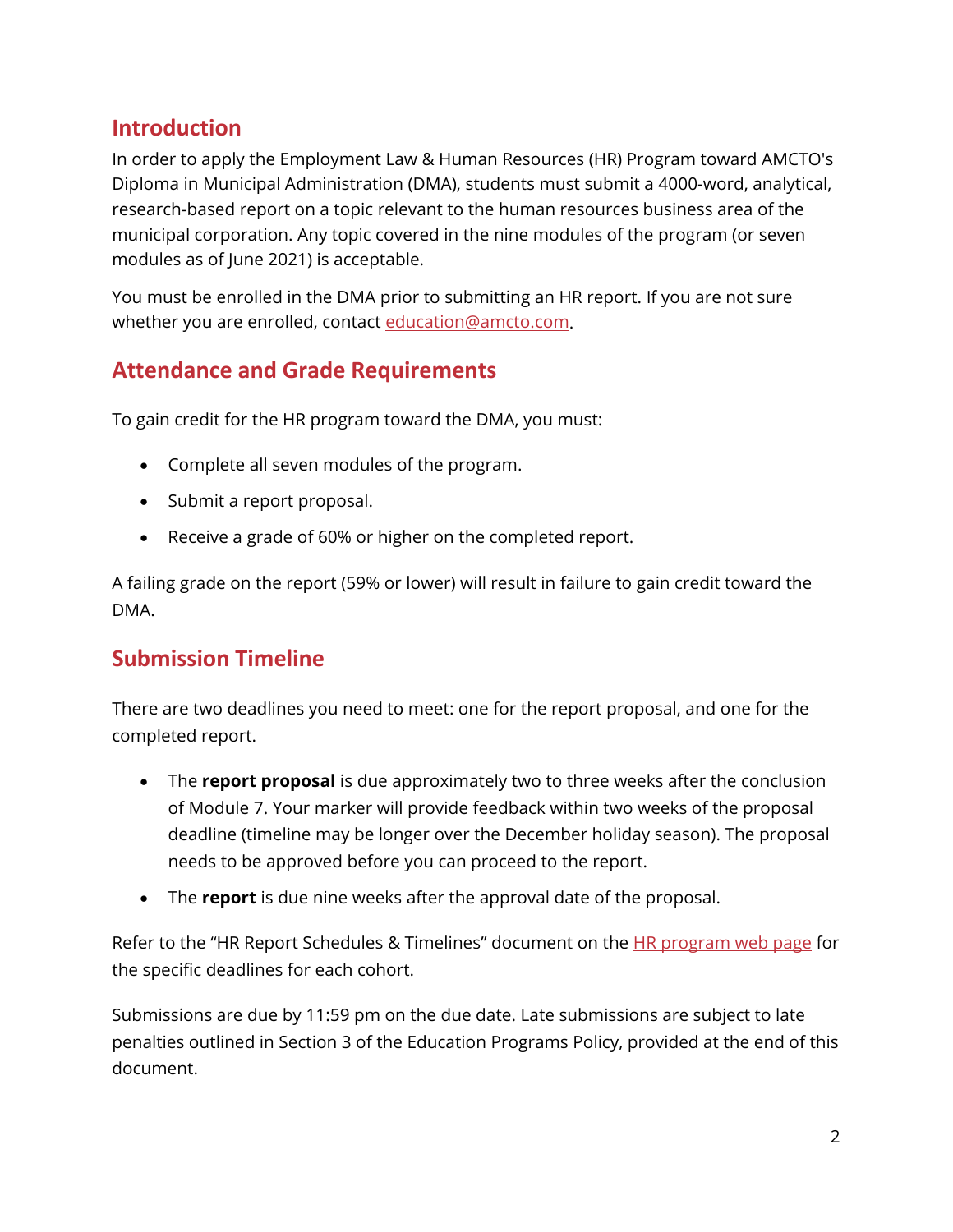# <span id="page-1-0"></span>**Introduction**

In order to apply the Employment Law & Human Resources (HR) Program toward AMCTO's Diploma in Municipal Administration (DMA), students must submit a 4000-word, analytical, research-based report on a topic relevant to the human resources business area of the municipal corporation. Any topic covered in the nine modules of the program (or seven modules as of June 2021) is acceptable.

You must be enrolled in the DMA prior to submitting an HR report. If you are not sure whether you are enrolled, contact [education@amcto.com.](mailto:education@amcto.com)

# <span id="page-1-1"></span>**Attendance and Grade Requirements**

To gain credit for the HR program toward the DMA, you must:

- Complete all seven modules of the program.
- Submit a report proposal.
- Receive a grade of 60% or higher on the completed report.

A failing grade on the report (59% or lower) will result in failure to gain credit toward the DMA.

# <span id="page-1-2"></span>**Submission Timeline**

There are two deadlines you need to meet: one for the report proposal, and one for the completed report.

- The **report proposal** is due approximately two to three weeks after the conclusion of Module 7. Your marker will provide feedback within two weeks of the proposal deadline (timeline may be longer over the December holiday season). The proposal needs to be approved before you can proceed to the report.
- The **report** is due nine weeks after the approval date of the proposal.

Refer to the "HR Report Schedules & Timelines" document on the [HR program web page](https://www.amcto.com/Education-Events/Education-Programs/Employment-Law-and-Human-Resources) for the specific deadlines for each cohort.

Submissions are due by 11:59 pm on the due date. Late submissions are subject to late penalties outlined in Section 3 of the Education Programs Policy, provided at the end of this document.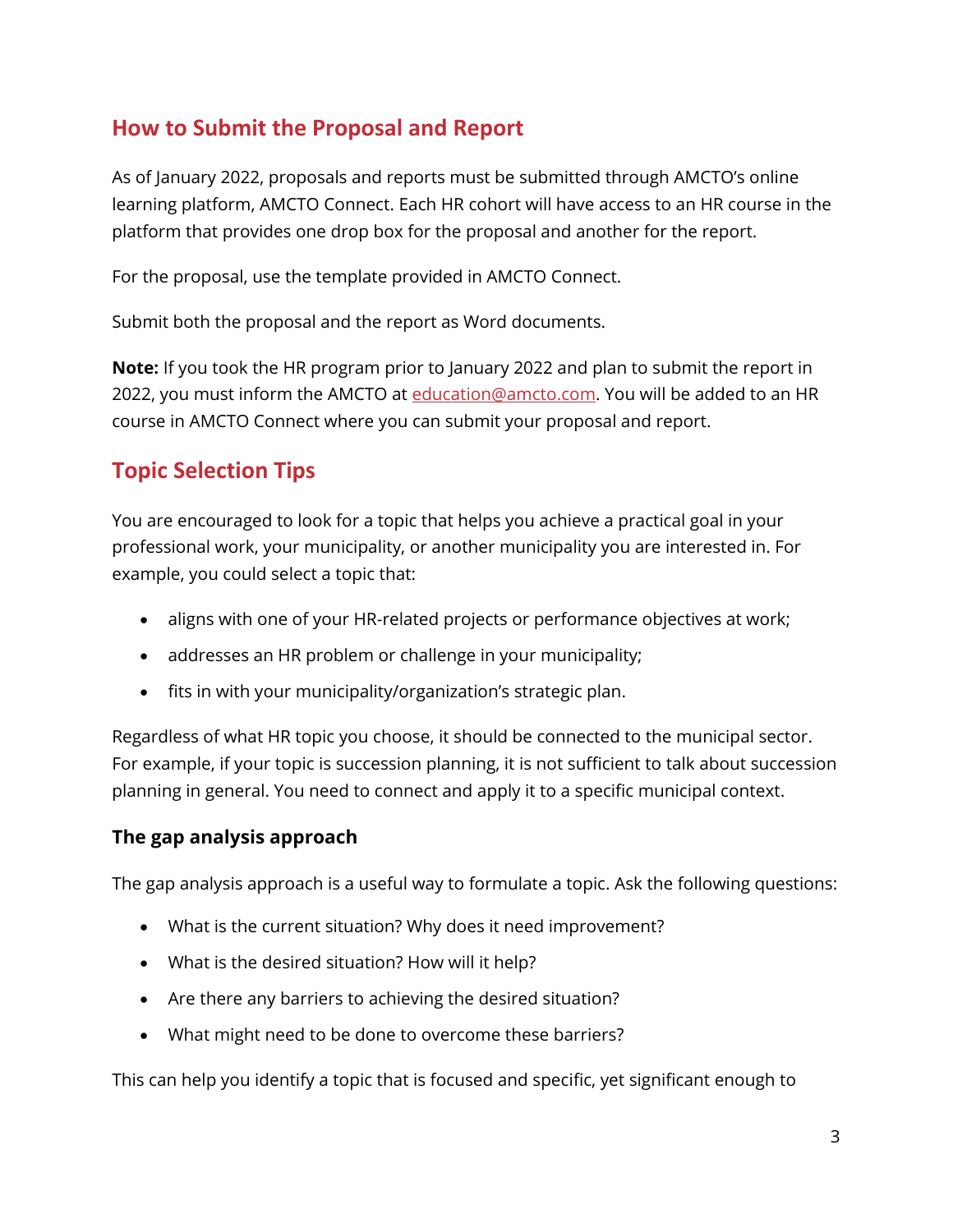# <span id="page-2-0"></span>**How to Submit the Proposal and Report**

As of January 2022, proposals and reports must be submitted through AMCTO's online learning platform, AMCTO Connect. Each HR cohort will have access to an HR course in the platform that provides one drop box for the proposal and another for the report.

For the proposal, use the template provided in AMCTO Connect.

Submit both the proposal and the report as Word documents.

**Note:** If you took the HR program prior to January 2022 and plan to submit the report in 2022, you must inform the AMCTO at [education@amcto.com.](mailto:education@amcto.com) You will be added to an HR course in AMCTO Connect where you can submit your proposal and report.

## <span id="page-2-1"></span>**Topic Selection Tips**

You are encouraged to look for a topic that helps you achieve a practical goal in your professional work, your municipality, or another municipality you are interested in. For example, you could select a topic that:

- aligns with one of your HR-related projects or performance objectives at work;
- addresses an HR problem or challenge in your municipality;
- fits in with your municipality/organization's strategic plan.

Regardless of what HR topic you choose, it should be connected to the municipal sector. For example, if your topic is succession planning, it is not sufficient to talk about succession planning in general. You need to connect and apply it to a specific municipal context.

### **The gap analysis approach**

The gap analysis approach is a useful way to formulate a topic. Ask the following questions:

- What is the current situation? Why does it need improvement?
- What is the desired situation? How will it help?
- Are there any barriers to achieving the desired situation?
- What might need to be done to overcome these barriers?

This can help you identify a topic that is focused and specific, yet significant enough to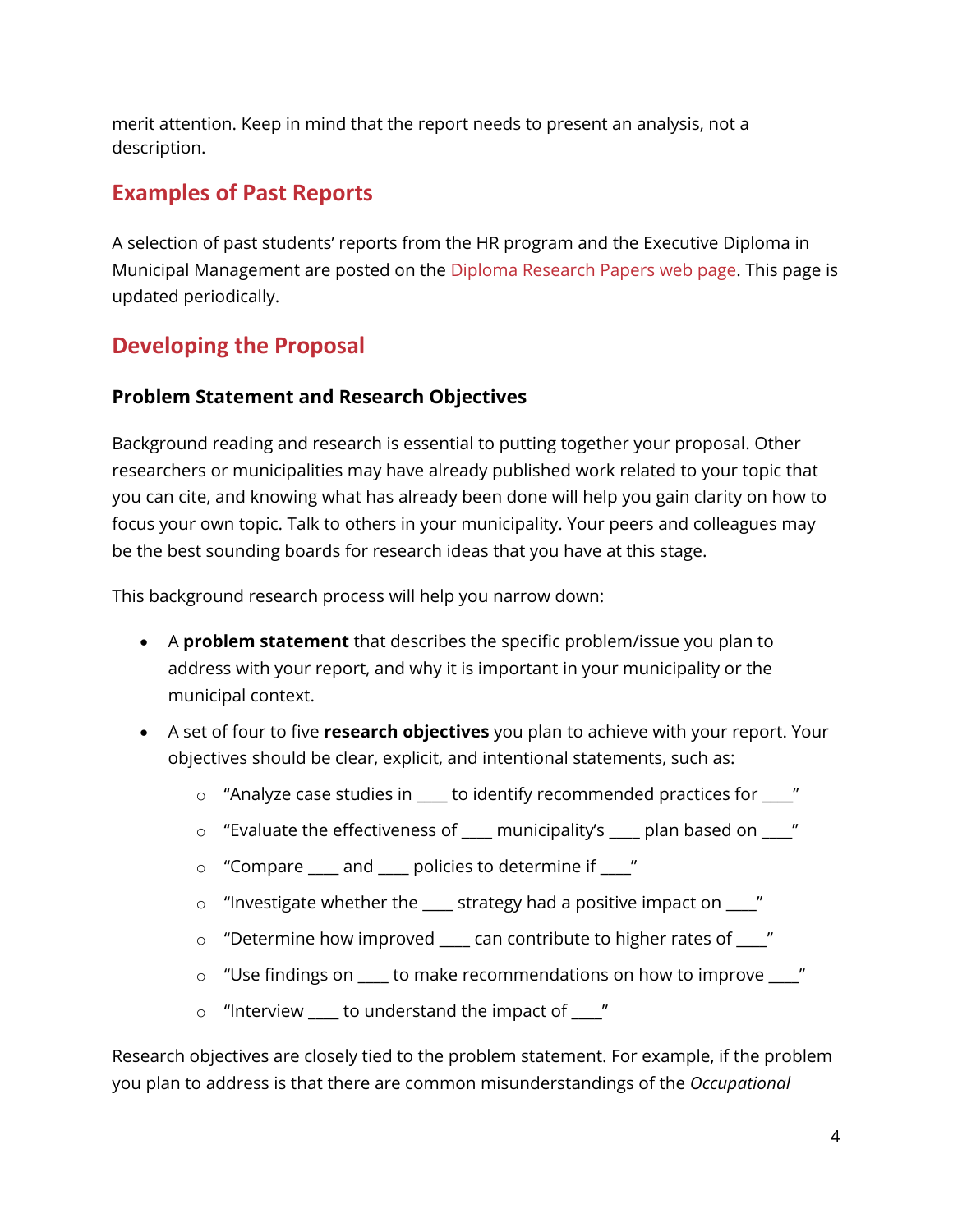merit attention. Keep in mind that the report needs to present an analysis, not a description.

# <span id="page-3-0"></span>**Examples of Past Reports**

A selection of past students' reports from the HR program and the Executive Diploma in Municipal Management are posted on the [Diploma Research Papers web page.](https://www.amcto.com/Resources-Publications/Diploma-Research-Papers) This page is updated periodically.

# <span id="page-3-1"></span>**Developing the Proposal**

### **Problem Statement and Research Objectives**

Background reading and research is essential to putting together your proposal. Other researchers or municipalities may have already published work related to your topic that you can cite, and knowing what has already been done will help you gain clarity on how to focus your own topic. Talk to others in your municipality. Your peers and colleagues may be the best sounding boards for research ideas that you have at this stage.

This background research process will help you narrow down:

- A **problem statement** that describes the specific problem/issue you plan to address with your report, and why it is important in your municipality or the municipal context.
- A set of four to five **research objectives** you plan to achieve with your report. Your objectives should be clear, explicit, and intentional statements, such as:
	- $\circ$  "Analyze case studies in \_\_\_\_ to identify recommended practices for \_\_\_\_"
	- $\circ$  "Evaluate the effectiveness of \_\_\_\_ municipality's \_\_\_\_ plan based on \_\_\_\_"
	- o "Compare \_\_\_\_ and \_\_\_\_ policies to determine if \_\_\_\_"
	- $\circ$  "Investigate whether the \_\_\_\_ strategy had a positive impact on \_\_\_"
	- $\circ$  "Determine how improved \_\_\_\_ can contribute to higher rates of \_\_\_"
	- o "Use findings on \_\_\_\_ to make recommendations on how to improve \_\_\_\_"
	- $\circ$  "Interview \_\_\_\_ to understand the impact of \_\_\_"

Research objectives are closely tied to the problem statement. For example, if the problem you plan to address is that there are common misunderstandings of the *Occupational*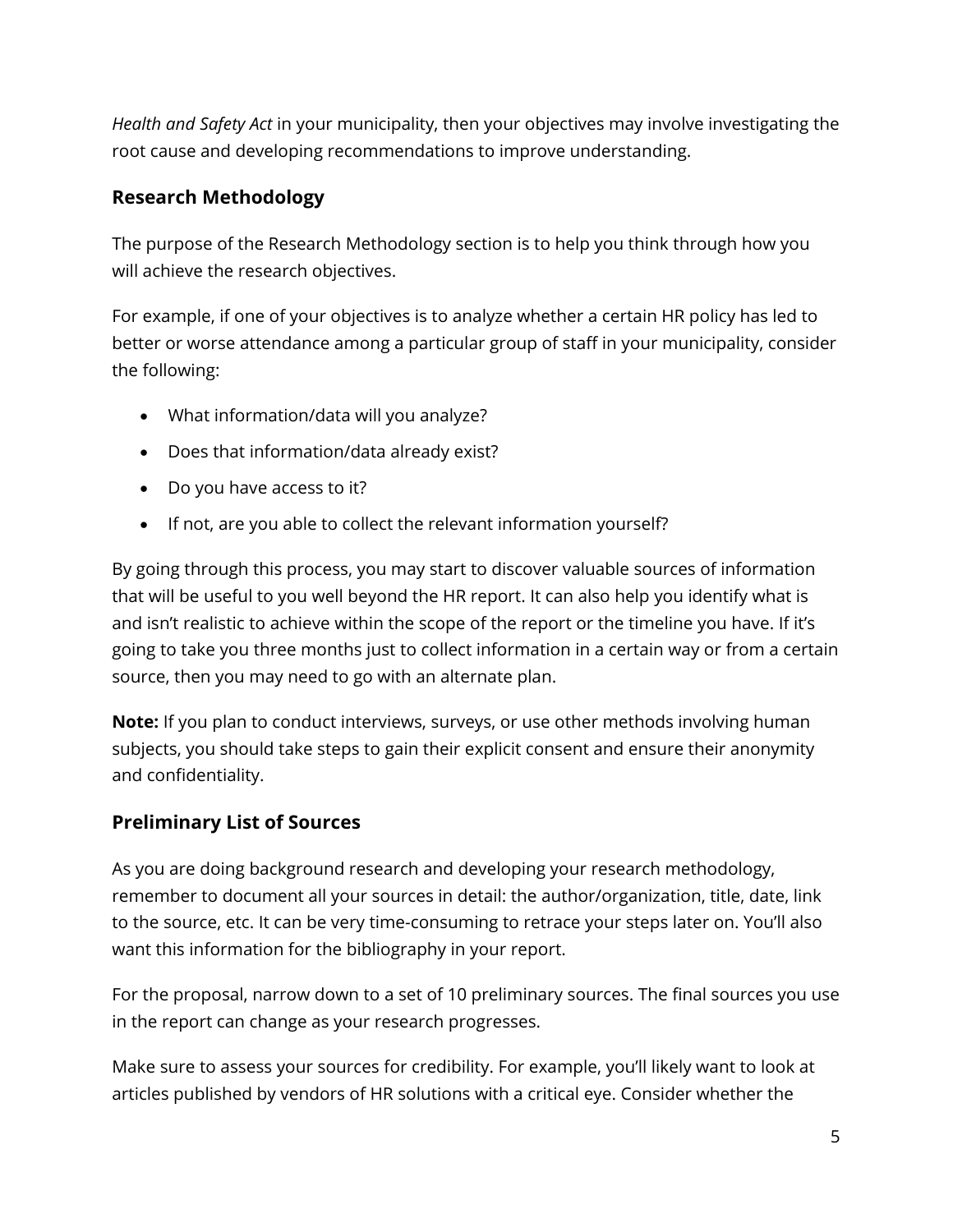*Health and Safety Act* in your municipality, then your objectives may involve investigating the root cause and developing recommendations to improve understanding.

### **Research Methodology**

The purpose of the Research Methodology section is to help you think through how you will achieve the research objectives.

For example, if one of your objectives is to analyze whether a certain HR policy has led to better or worse attendance among a particular group of staff in your municipality, consider the following:

- What information/data will you analyze?
- Does that information/data already exist?
- Do you have access to it?
- If not, are you able to collect the relevant information yourself?

By going through this process, you may start to discover valuable sources of information that will be useful to you well beyond the HR report. It can also help you identify what is and isn't realistic to achieve within the scope of the report or the timeline you have. If it's going to take you three months just to collect information in a certain way or from a certain source, then you may need to go with an alternate plan.

**Note:** If you plan to conduct interviews, surveys, or use other methods involving human subjects, you should take steps to gain their explicit consent and ensure their anonymity and confidentiality.

### **Preliminary List of Sources**

As you are doing background research and developing your research methodology, remember to document all your sources in detail: the author/organization, title, date, link to the source, etc. It can be very time-consuming to retrace your steps later on. You'll also want this information for the bibliography in your report.

For the proposal, narrow down to a set of 10 preliminary sources. The final sources you use in the report can change as your research progresses.

Make sure to assess your sources for credibility. For example, you'll likely want to look at articles published by vendors of HR solutions with a critical eye. Consider whether the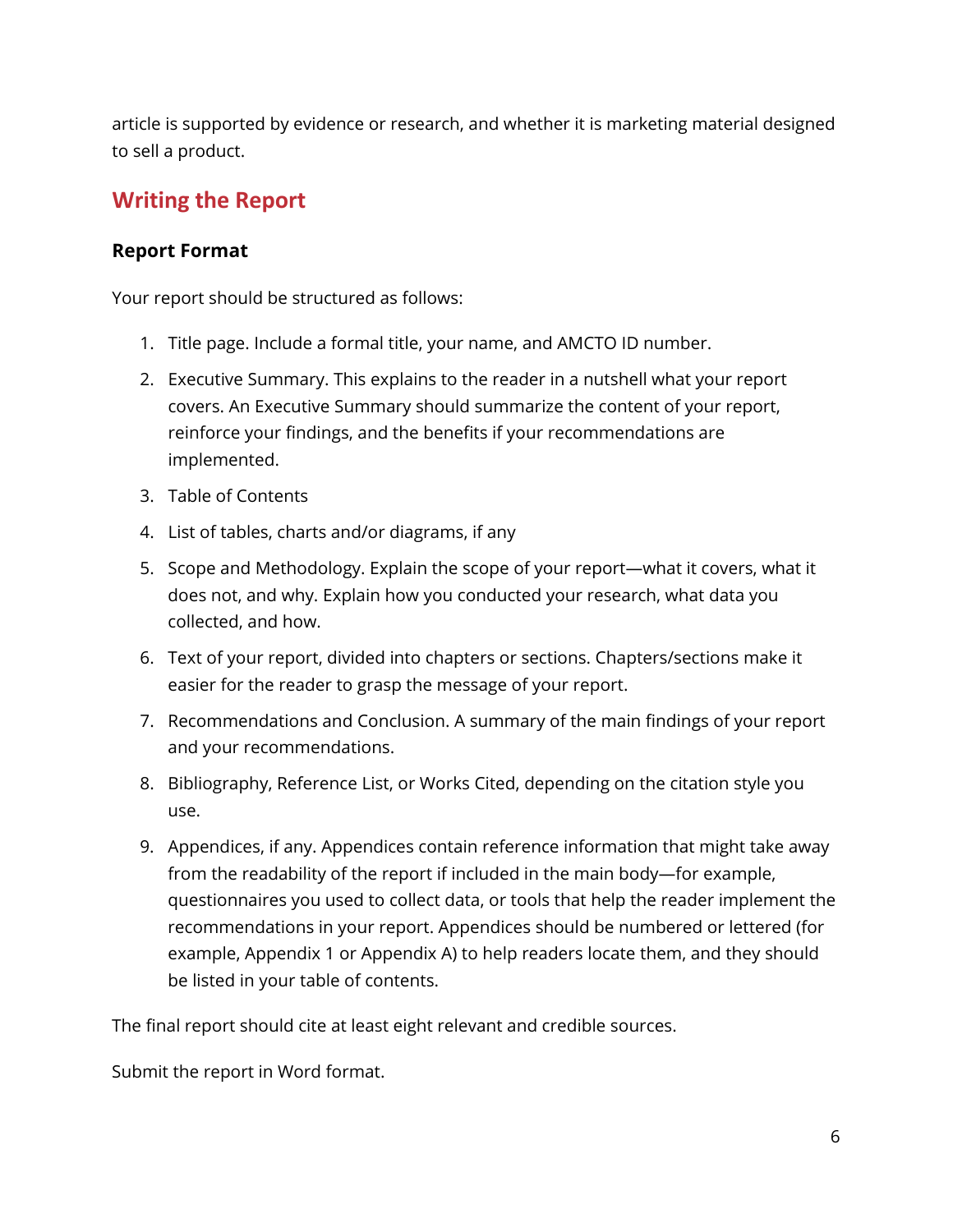article is supported by evidence or research, and whether it is marketing material designed to sell a product.

# <span id="page-5-0"></span>**Writing the Report**

### **Report Format**

Your report should be structured as follows:

- 1. Title page. Include a formal title, your name, and AMCTO ID number.
- 2. Executive Summary. This explains to the reader in a nutshell what your report covers. An Executive Summary should summarize the content of your report, reinforce your findings, and the benefits if your recommendations are implemented.
- 3. Table of Contents
- 4. List of tables, charts and/or diagrams, if any
- 5. Scope and Methodology. Explain the scope of your report—what it covers, what it does not, and why. Explain how you conducted your research, what data you collected, and how.
- 6. Text of your report, divided into chapters or sections. Chapters/sections make it easier for the reader to grasp the message of your report.
- 7. Recommendations and Conclusion. A summary of the main findings of your report and your recommendations.
- 8. Bibliography, Reference List, or Works Cited, depending on the citation style you use.
- 9. Appendices, if any. Appendices contain reference information that might take away from the readability of the report if included in the main body—for example, questionnaires you used to collect data, or tools that help the reader implement the recommendations in your report. Appendices should be numbered or lettered (for example, Appendix 1 or Appendix A) to help readers locate them, and they should be listed in your table of contents.

The final report should cite at least eight relevant and credible sources.

Submit the report in Word format.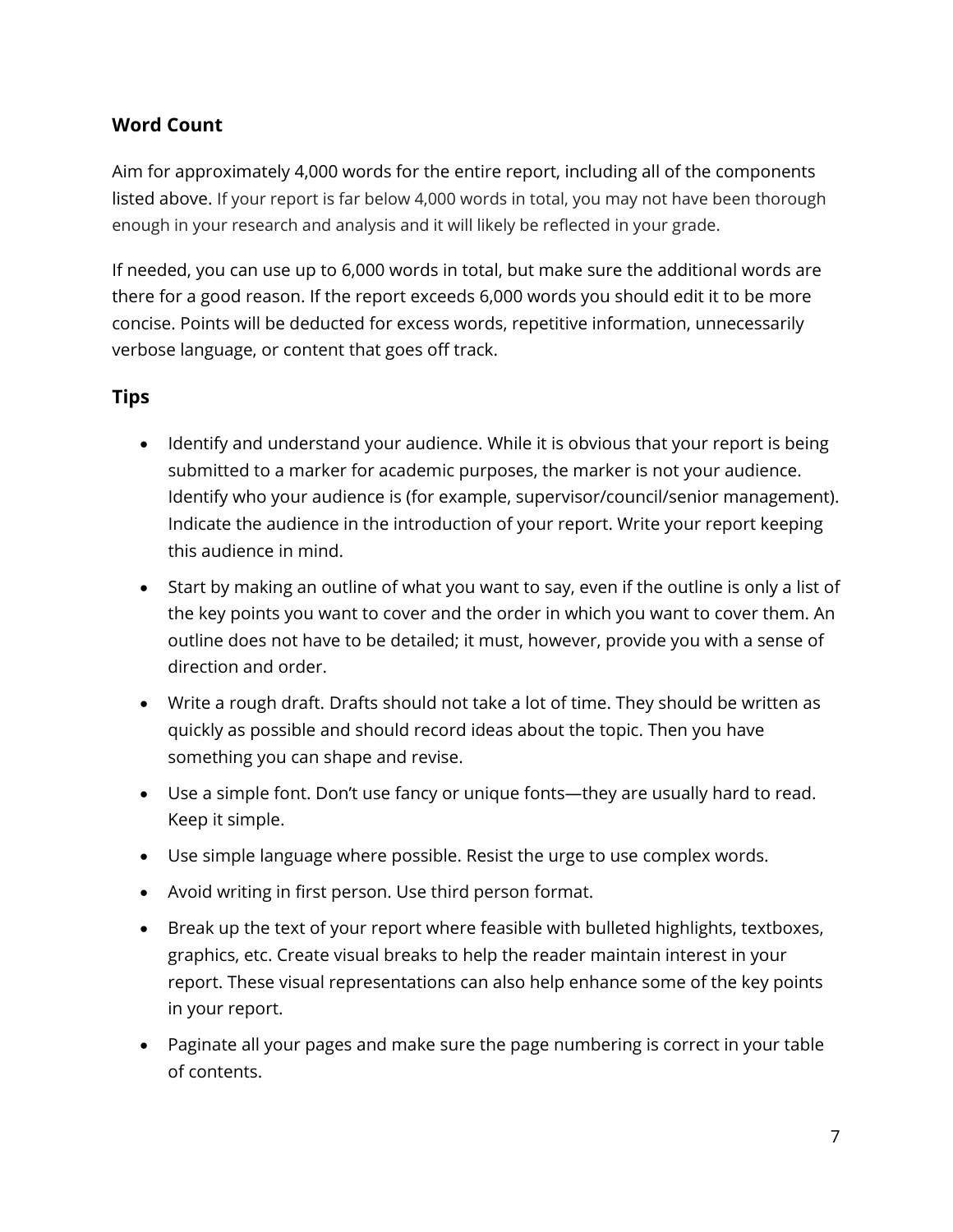### <span id="page-6-0"></span>**Word Count**

Aim for approximately 4,000 words for the entire report, including all of the components listed above. If your report is far below 4,000 words in total, you may not have been thorough enough in your research and analysis and it will likely be reflected in your grade.

If needed, you can use up to 6,000 words in total, but make sure the additional words are there for a good reason. If the report exceeds 6,000 words you should edit it to be more concise. Points will be deducted for excess words, repetitive information, unnecessarily verbose language, or content that goes off track.

### **Tips**

- Identify and understand your audience. While it is obvious that your report is being submitted to a marker for academic purposes, the marker is not your audience. Identify who your audience is (for example, supervisor/council/senior management). Indicate the audience in the introduction of your report. Write your report keeping this audience in mind.
- Start by making an outline of what you want to say, even if the outline is only a list of the key points you want to cover and the order in which you want to cover them. An outline does not have to be detailed; it must, however, provide you with a sense of direction and order.
- Write a rough draft. Drafts should not take a lot of time. They should be written as quickly as possible and should record ideas about the topic. Then you have something you can shape and revise.
- Use a simple font. Don't use fancy or unique fonts—they are usually hard to read. Keep it simple.
- Use simple language where possible. Resist the urge to use complex words.
- Avoid writing in first person. Use third person format.
- Break up the text of your report where feasible with bulleted highlights, textboxes, graphics, etc. Create visual breaks to help the reader maintain interest in your report. These visual representations can also help enhance some of the key points in your report.
- Paginate all your pages and make sure the page numbering is correct in your table of contents.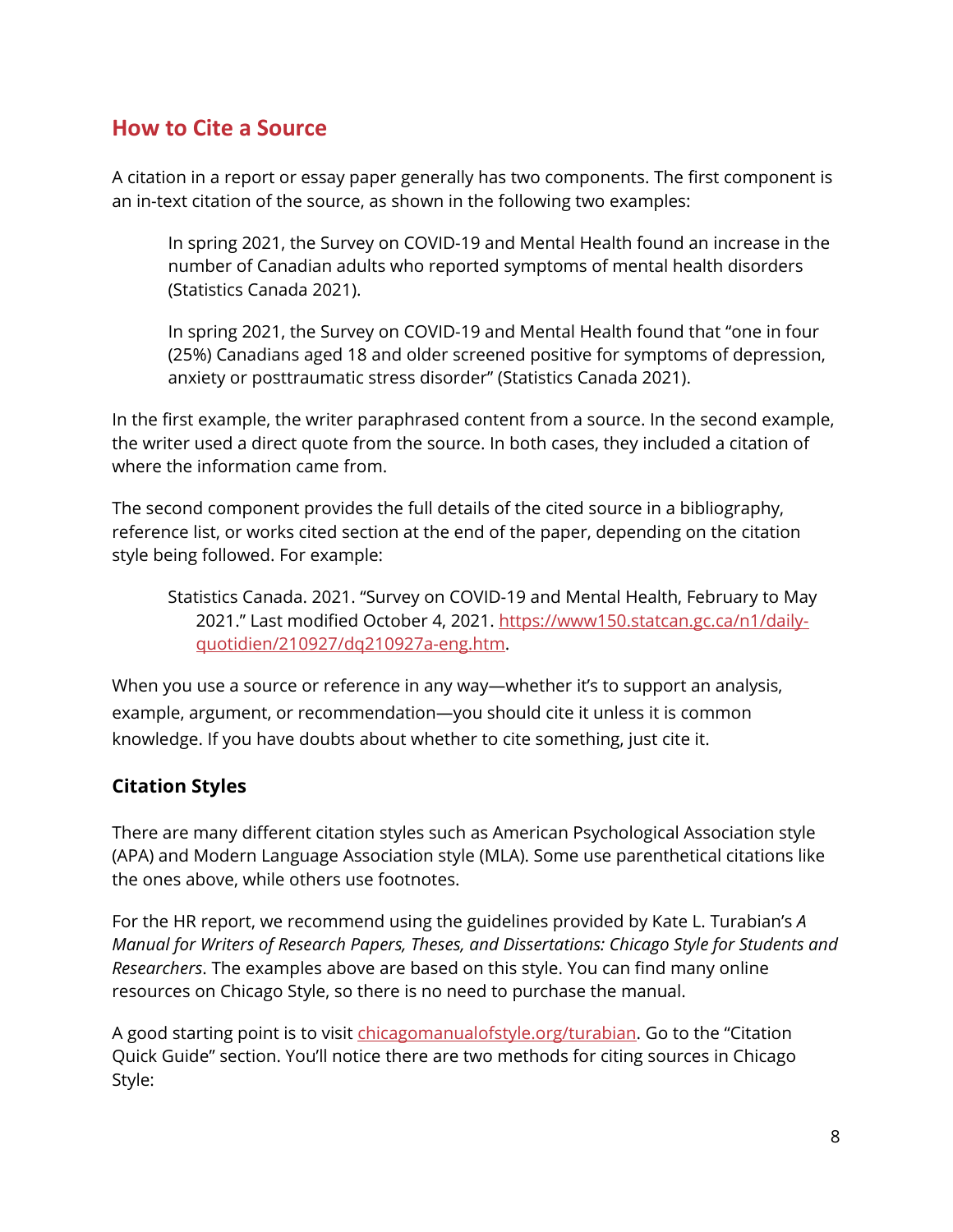### <span id="page-7-1"></span><span id="page-7-0"></span>**How to Cite a Source**

A citation in a report or essay paper generally has two components. The first component is an in-text citation of the source, as shown in the following two examples:

In spring 2021, the Survey on COVID-19 and Mental Health found an increase in the number of Canadian adults who reported symptoms of mental health disorders (Statistics Canada 2021).

In spring 2021, the Survey on COVID-19 and Mental Health found that "one in four (25%) Canadians aged 18 and older screened positive for symptoms of depression, anxiety or posttraumatic stress disorder" (Statistics Canada 2021).

In the first example, the writer paraphrased content from a source. In the second example, the writer used a direct quote from the source. In both cases, they included a citation of where the information came from.

The second component provides the full details of the cited source in a bibliography, reference list, or works cited section at the end of the paper, depending on the citation style being followed. For example:

Statistics Canada. 2021. "Survey on COVID-19 and Mental Health, February to May 2021." Last modified October 4, 2021. [https://www150.statcan.gc.ca/n1/daily](https://www150.statcan.gc.ca/n1/daily-quotidien/210927/dq210927a-eng.htm)[quotidien/210927/dq210927a-eng.htm.](https://www150.statcan.gc.ca/n1/daily-quotidien/210927/dq210927a-eng.htm)

When you use a source or reference in any way—whether it's to support an analysis, example, argument, or recommendation—you should cite it unless it is common knowledge. If you have doubts about whether to cite something, just cite it.

### **Citation Styles**

There are many different citation styles such as American Psychological Association style (APA) and Modern Language Association style (MLA). Some use parenthetical citations like the ones above, while others use footnotes.

For the HR report, we recommend using the guidelines provided by Kate L. Turabian's *A Manual for Writers of Research Papers, Theses, and Dissertations: Chicago Style for Students and Researchers*. The examples above are based on this style. You can find many online resources on Chicago Style, so there is no need to purchase the manual.

A good starting point is to visit [chicagomanualofstyle.org/turabian.](https://www.chicagomanualofstyle.org/turabian) Go to the "Citation Quick Guide" section. You'll notice there are two methods for citing sources in Chicago Style: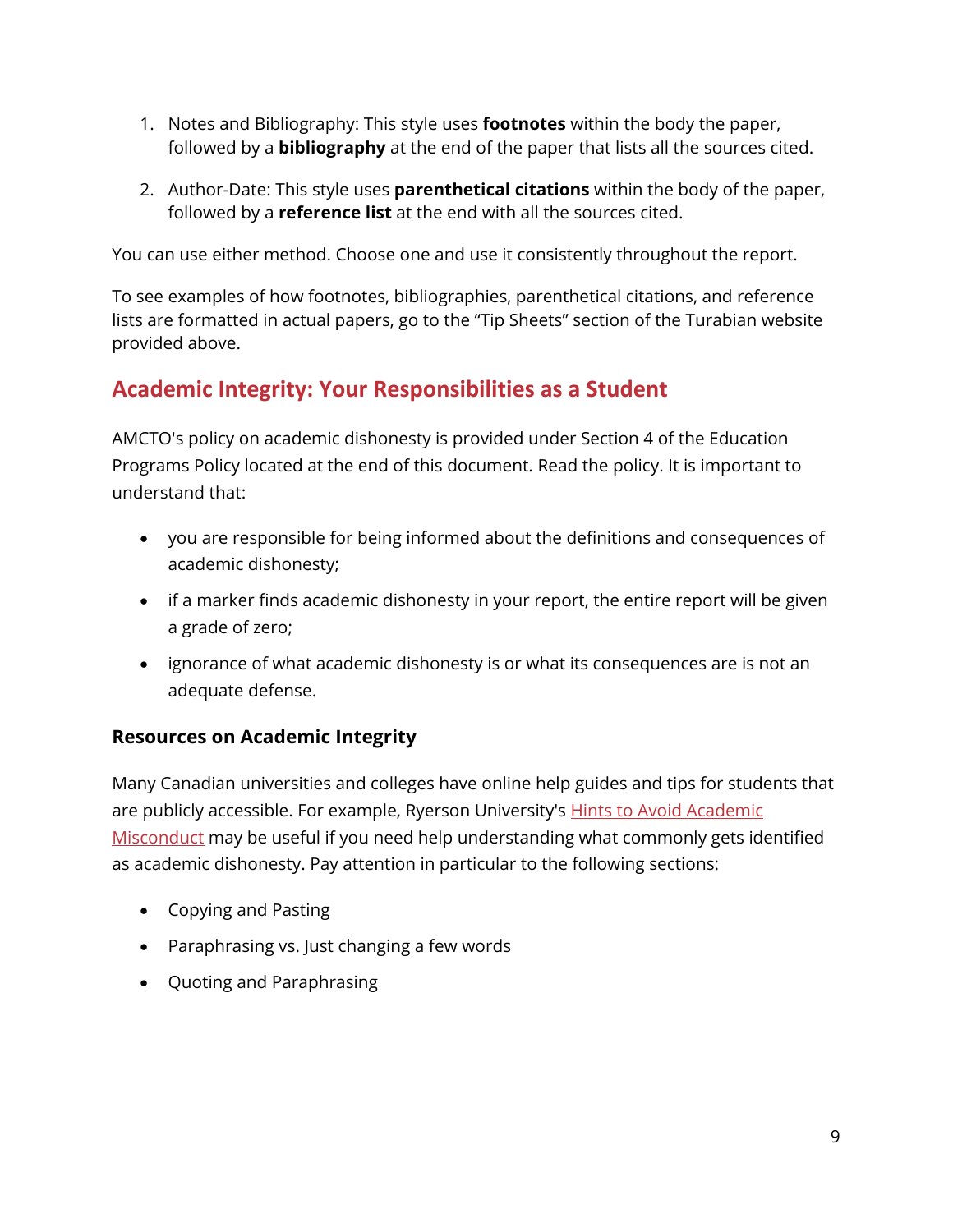- <span id="page-8-1"></span>1. Notes and Bibliography: This style uses **footnotes** within the body the paper, followed by a **bibliography** at the end of the paper that lists all the sources cited.
- 2. Author-Date: This style uses **parenthetical citations** within the body of the paper, followed by a **reference list** at the end with all the sources cited.

You can use either method. Choose one and use it consistently throughout the report.

To see examples of how footnotes, bibliographies, parenthetical citations, and reference lists are formatted in actual papers, go to the "Tip Sheets" section of the Turabian website provided above.

### <span id="page-8-0"></span>**Academic Integrity: Your Responsibilities as a Student**

AMCTO's policy on academic dishonesty is provided under Section 4 of the Education Programs Policy located at the end of this document. Read the policy. It is important to understand that:

- you are responsible for being informed about the definitions and consequences of academic dishonesty;
- if a marker finds academic dishonesty in your report, the entire report will be given a grade of zero;
- ignorance of what academic dishonesty is or what its consequences are is not an adequate defense.

### **Resources on Academic Integrity**

Many Canadian universities and colleges have online help guides and tips for students that are publicly accessible. For example, Ryerson University's **Hints to Avoid Academic** [Misconduct](https://www.ryerson.ca/academicintegrity/students/what-is-integrity-and-misconduct/hints-to-avoid-academic-misconduct/) may be useful if you need help understanding what commonly gets identified as academic dishonesty. Pay attention in particular to the following sections:

- Copying and Pasting
- Paraphrasing vs. Just changing a few words
- Quoting and Paraphrasing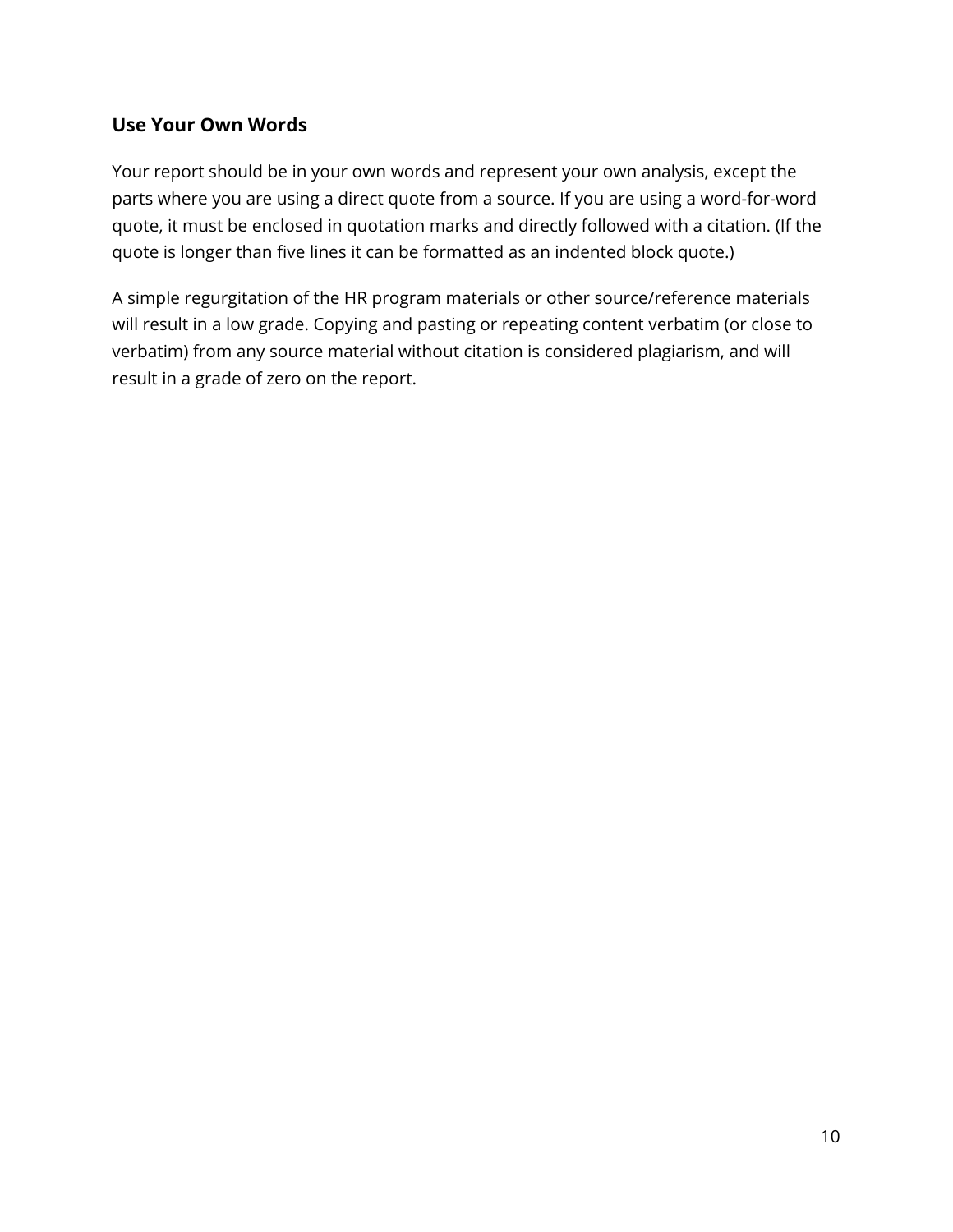### **Use Your Own Words**

Your report should be in your own words and represent your own analysis, except the parts where you are using a direct quote from a source. If you are using a word-for-word quote, it must be enclosed in quotation marks and directly followed with a citation. (If the quote is longer than five lines it can be formatted as an indented block quote.)

A simple regurgitation of the HR program materials or other source/reference materials will result in a low grade. Copying and pasting or repeating content verbatim (or close to verbatim) from any source material without citation is considered plagiarism, and will result in a grade of zero on the report.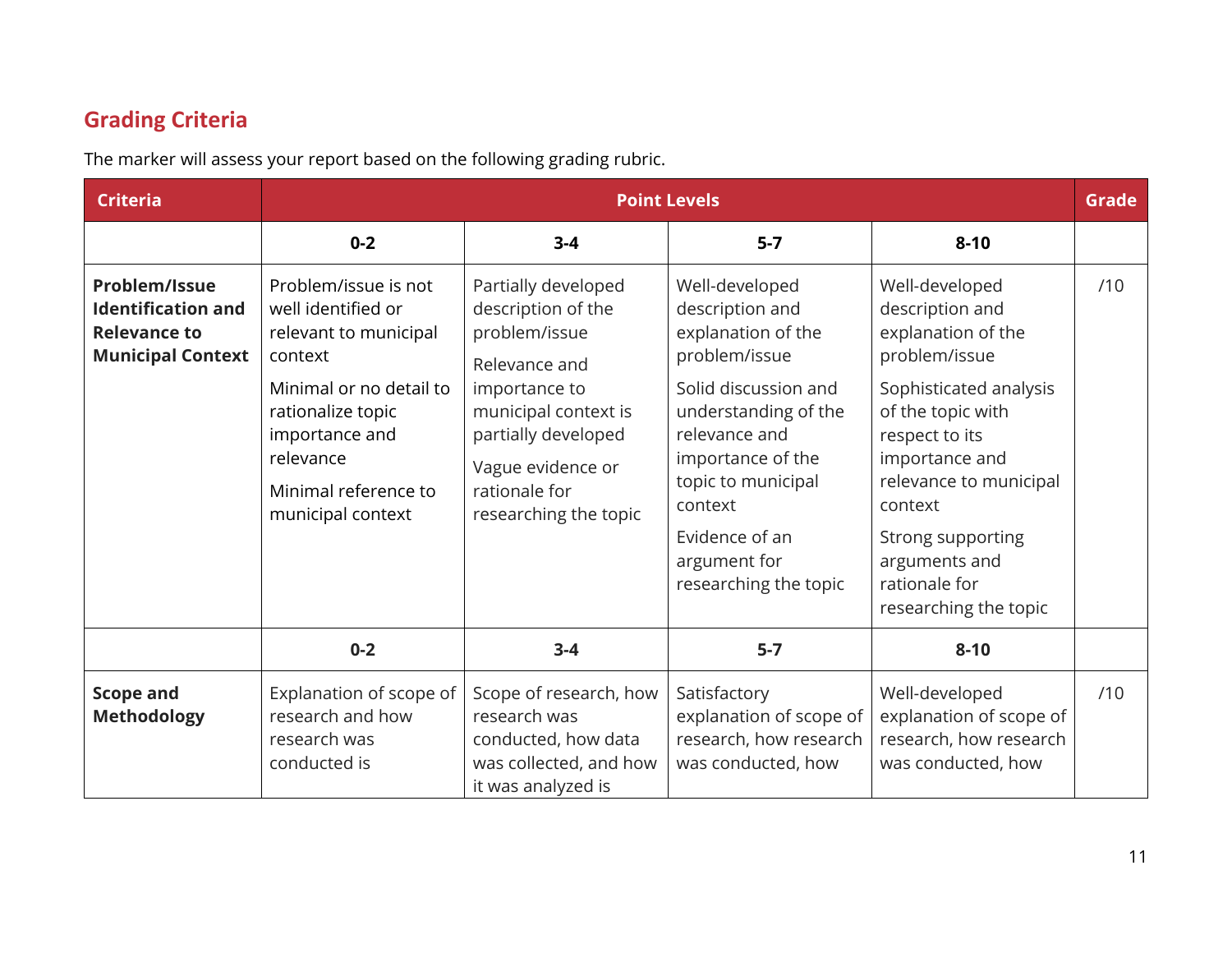# **Grading Criteria**

The marker will assess your report based on the following grading rubric.

<span id="page-10-0"></span>

| <b>Criteria</b>                                                                               | <b>Point Levels</b>                                                                                                                                                                                        |                                                                                                                                                                                                            |                                                                                                                                                                                                                                                            |                                                                                                                                                                                                                                                                                  | <b>Grade</b> |
|-----------------------------------------------------------------------------------------------|------------------------------------------------------------------------------------------------------------------------------------------------------------------------------------------------------------|------------------------------------------------------------------------------------------------------------------------------------------------------------------------------------------------------------|------------------------------------------------------------------------------------------------------------------------------------------------------------------------------------------------------------------------------------------------------------|----------------------------------------------------------------------------------------------------------------------------------------------------------------------------------------------------------------------------------------------------------------------------------|--------------|
|                                                                                               | $0 - 2$                                                                                                                                                                                                    | $3 - 4$                                                                                                                                                                                                    | $5 - 7$                                                                                                                                                                                                                                                    | $8 - 10$                                                                                                                                                                                                                                                                         |              |
| Problem/Issue<br><b>Identification and</b><br><b>Relevance to</b><br><b>Municipal Context</b> | Problem/issue is not<br>well identified or<br>relevant to municipal<br>context<br>Minimal or no detail to<br>rationalize topic<br>importance and<br>relevance<br>Minimal reference to<br>municipal context | Partially developed<br>description of the<br>problem/issue<br>Relevance and<br>importance to<br>municipal context is<br>partially developed<br>Vague evidence or<br>rationale for<br>researching the topic | Well-developed<br>description and<br>explanation of the<br>problem/issue<br>Solid discussion and<br>understanding of the<br>relevance and<br>importance of the<br>topic to municipal<br>context<br>Evidence of an<br>argument for<br>researching the topic | Well-developed<br>description and<br>explanation of the<br>problem/issue<br>Sophisticated analysis<br>of the topic with<br>respect to its<br>importance and<br>relevance to municipal<br>context<br>Strong supporting<br>arguments and<br>rationale for<br>researching the topic | /10          |
|                                                                                               | $0 - 2$                                                                                                                                                                                                    | $3-4$                                                                                                                                                                                                      | $5-7$                                                                                                                                                                                                                                                      | $8 - 10$                                                                                                                                                                                                                                                                         |              |
| <b>Scope and</b><br><b>Methodology</b>                                                        | Explanation of scope of<br>research and how<br>research was<br>conducted is                                                                                                                                | Scope of research, how<br>research was<br>conducted, how data<br>was collected, and how<br>it was analyzed is                                                                                              | Satisfactory<br>explanation of scope of<br>research, how research<br>was conducted, how                                                                                                                                                                    | Well-developed<br>explanation of scope of<br>research, how research<br>was conducted, how                                                                                                                                                                                        | /10          |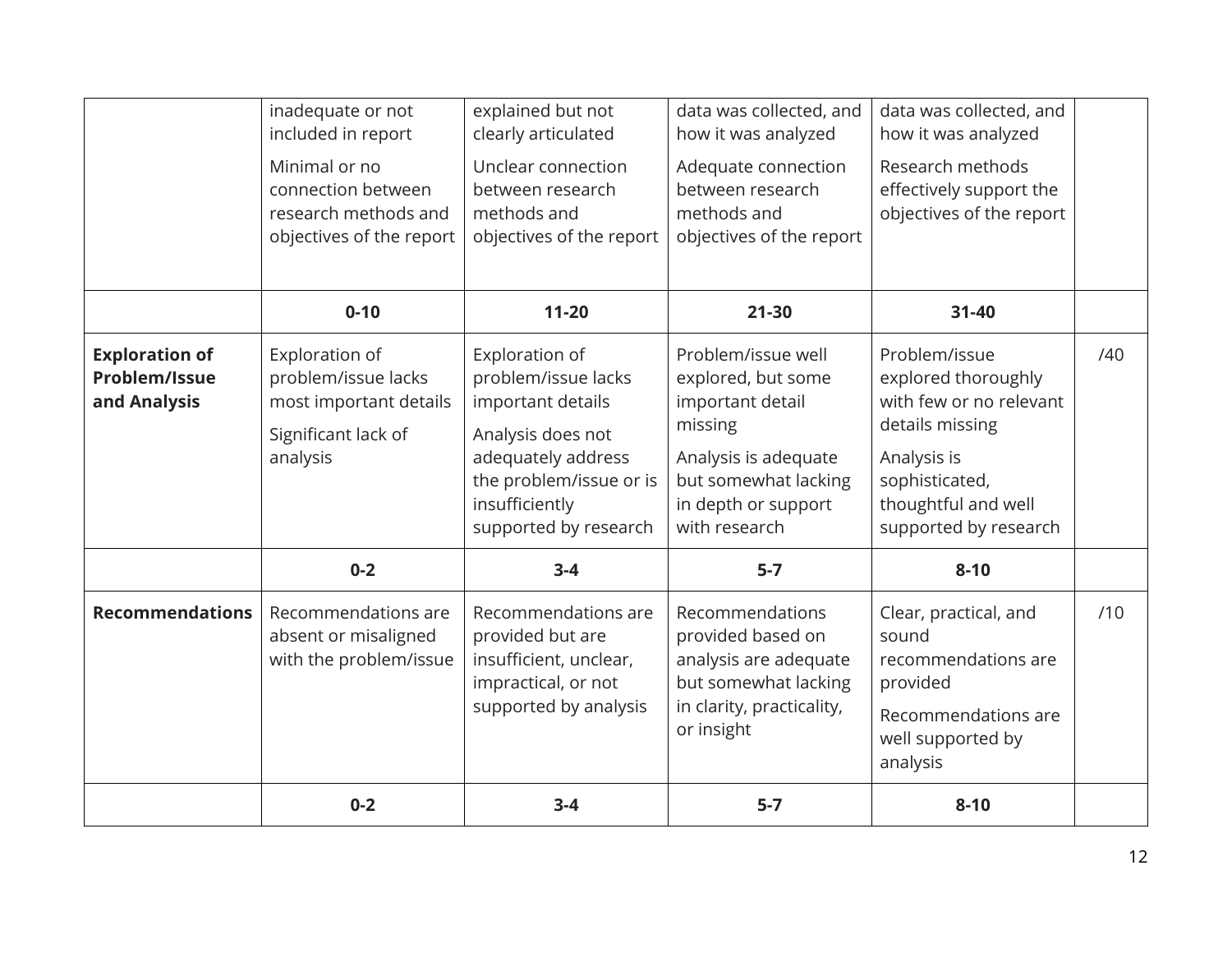|                                                        | inadequate or not<br>included in report<br>Minimal or no<br>connection between<br>research methods and<br>objectives of the report | explained but not<br>clearly articulated<br>Unclear connection<br>between research<br>methods and<br>objectives of the report                                               | data was collected, and<br>how it was analyzed<br>Adequate connection<br>between research<br>methods and<br>objectives of the report                            | data was collected, and<br>how it was analyzed<br>Research methods<br>effectively support the<br>objectives of the report                                           |     |
|--------------------------------------------------------|------------------------------------------------------------------------------------------------------------------------------------|-----------------------------------------------------------------------------------------------------------------------------------------------------------------------------|-----------------------------------------------------------------------------------------------------------------------------------------------------------------|---------------------------------------------------------------------------------------------------------------------------------------------------------------------|-----|
|                                                        | $0 - 10$                                                                                                                           | $11 - 20$                                                                                                                                                                   | $21 - 30$                                                                                                                                                       | 31-40                                                                                                                                                               |     |
| <b>Exploration of</b><br>Problem/Issue<br>and Analysis | Exploration of<br>problem/issue lacks<br>most important details<br>Significant lack of<br>analysis                                 | Exploration of<br>problem/issue lacks<br>important details<br>Analysis does not<br>adequately address<br>the problem/issue or is<br>insufficiently<br>supported by research | Problem/issue well<br>explored, but some<br>important detail<br>missing<br>Analysis is adequate<br>but somewhat lacking<br>in depth or support<br>with research | Problem/issue<br>explored thoroughly<br>with few or no relevant<br>details missing<br>Analysis is<br>sophisticated,<br>thoughtful and well<br>supported by research | /40 |
|                                                        | $0 - 2$                                                                                                                            | $3 - 4$                                                                                                                                                                     | $5 - 7$                                                                                                                                                         | $8 - 10$                                                                                                                                                            |     |
| <b>Recommendations</b>                                 | Recommendations are<br>absent or misaligned<br>with the problem/issue                                                              | Recommendations are<br>provided but are<br>insufficient, unclear,<br>impractical, or not<br>supported by analysis                                                           | Recommendations<br>provided based on<br>analysis are adequate<br>but somewhat lacking<br>in clarity, practicality,<br>or insight                                | Clear, practical, and<br>sound<br>recommendations are<br>provided<br>Recommendations are<br>well supported by<br>analysis                                           | /10 |
|                                                        | $0 - 2$                                                                                                                            | $3 - 4$                                                                                                                                                                     | $5-7$                                                                                                                                                           | $8 - 10$                                                                                                                                                            |     |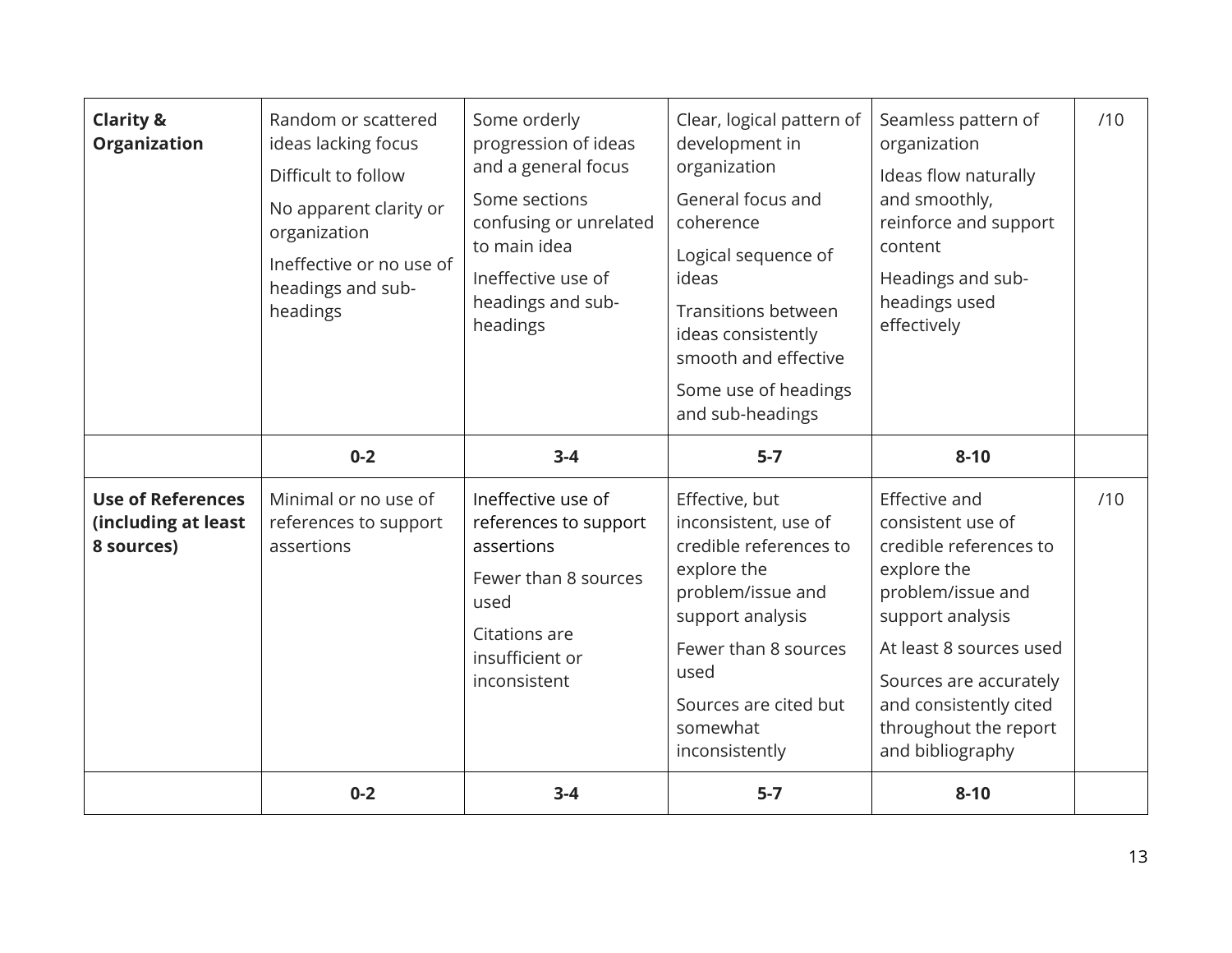| <b>Clarity &amp;</b><br>Organization            | Random or scattered<br>ideas lacking focus<br>Difficult to follow<br>No apparent clarity or<br>organization<br>Ineffective or no use of<br>headings and sub-<br>headings | Some orderly<br>progression of ideas<br>and a general focus<br>Some sections<br>confusing or unrelated<br>to main idea<br>Ineffective use of<br>headings and sub-<br>headings | Clear, logical pattern of<br>development in<br>organization<br>General focus and<br>coherence<br>Logical sequence of<br>ideas<br><b>Transitions between</b><br>ideas consistently<br>smooth and effective<br>Some use of headings<br>and sub-headings | Seamless pattern of<br>organization<br>Ideas flow naturally<br>and smoothly,<br>reinforce and support<br>content<br>Headings and sub-<br>headings used<br>effectively                                      | /10 |
|-------------------------------------------------|--------------------------------------------------------------------------------------------------------------------------------------------------------------------------|-------------------------------------------------------------------------------------------------------------------------------------------------------------------------------|-------------------------------------------------------------------------------------------------------------------------------------------------------------------------------------------------------------------------------------------------------|------------------------------------------------------------------------------------------------------------------------------------------------------------------------------------------------------------|-----|
|                                                 | $0 - 2$                                                                                                                                                                  | $3-4$                                                                                                                                                                         | $5-7$                                                                                                                                                                                                                                                 | $8 - 10$                                                                                                                                                                                                   |     |
| <b>Use of References</b><br>(including at least | Minimal or no use of<br>references to support                                                                                                                            | Ineffective use of<br>references to support                                                                                                                                   | Effective, but<br>inconsistent, use of                                                                                                                                                                                                                | Effective and<br>consistent use of                                                                                                                                                                         | /10 |
| 8 sources)                                      | assertions                                                                                                                                                               | assertions<br>Fewer than 8 sources<br>used<br>Citations are<br>insufficient or<br>inconsistent                                                                                | credible references to<br>explore the<br>problem/issue and<br>support analysis<br>Fewer than 8 sources<br>used<br>Sources are cited but<br>somewhat<br>inconsistently                                                                                 | credible references to<br>explore the<br>problem/issue and<br>support analysis<br>At least 8 sources used<br>Sources are accurately<br>and consistently cited<br>throughout the report<br>and bibliography |     |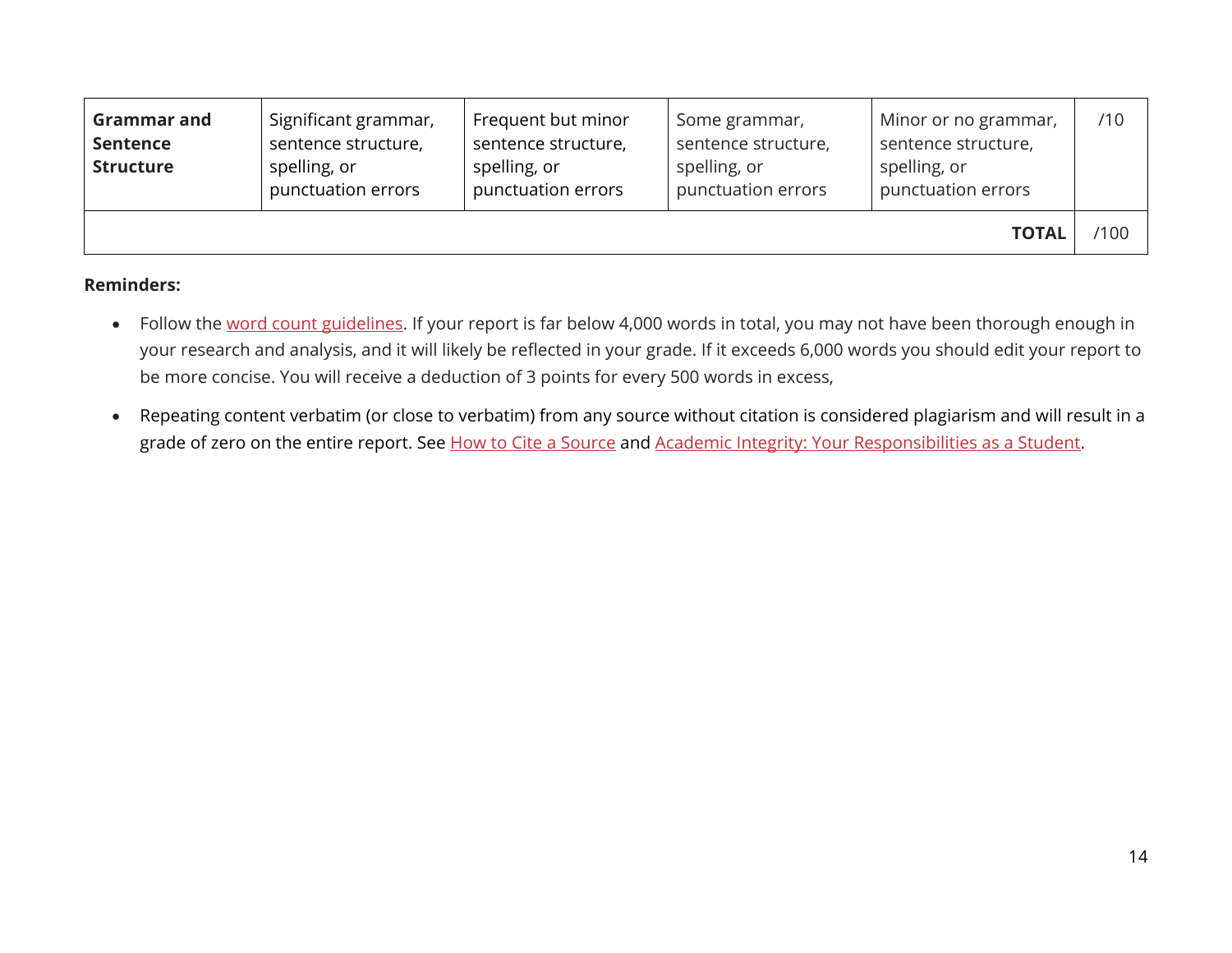| <b>Grammar and</b><br><b>Sentence</b><br><b>Structure</b> | Significant grammar,<br>sentence structure,<br>spelling, or<br>punctuation errors | Frequent but minor<br>sentence structure,<br>spelling, or<br>punctuation errors | Some grammar,<br>sentence structure,<br>spelling, or<br>punctuation errors | Minor or no grammar,<br>sentence structure,<br>spelling, or<br>punctuation errors | /10  |
|-----------------------------------------------------------|-----------------------------------------------------------------------------------|---------------------------------------------------------------------------------|----------------------------------------------------------------------------|-----------------------------------------------------------------------------------|------|
| <b>TOTAL</b>                                              |                                                                                   |                                                                                 |                                                                            |                                                                                   | /100 |

#### **Reminders:**

- Follow the [word count guidelines.](#page-6-0) If your report is far below 4,000 words in total, you may not have been thorough enough in your research and analysis, and it will likely be reflected in your grade. If it exceeds 6,000 words you should edit your report to be more concise. You will receive a deduction of 3 points for every 500 words in excess,
- Repeating content verbatim (or close to verbatim) from any source without citation is considered plagiarism and will result in a grade of zero on the entire report. See [How to Cite a Source](#page-7-1) and [Academic Integrity: Your Responsibilities](#page-8-1) as a Student.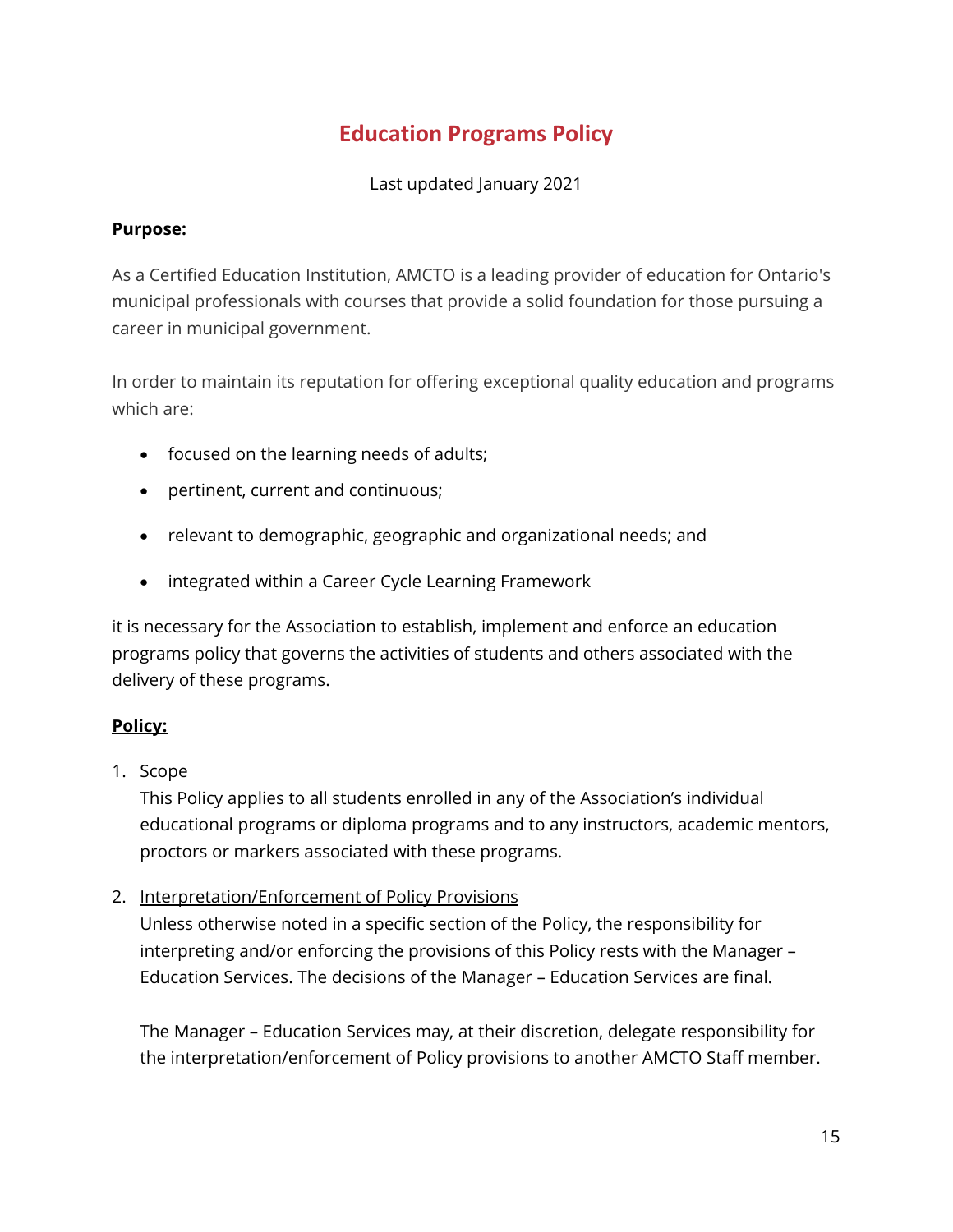# **Education Programs Policy**

Last updated January 2021

#### <span id="page-14-0"></span>**Purpose:**

As a Certified Education Institution, AMCTO is a leading provider of education for Ontario's municipal professionals with courses that provide a solid foundation for those pursuing a career in municipal government.

In order to maintain its reputation for offering exceptional quality education and programs which are:

- focused on the learning needs of adults;
- pertinent, current and continuous;
- relevant to demographic, geographic and organizational needs; and
- integrated within a Career Cycle Learning Framework

it is necessary for the Association to establish, implement and enforce an education programs policy that governs the activities of students and others associated with the delivery of these programs.

### **Policy:**

1. Scope

This Policy applies to all students enrolled in any of the Association's individual educational programs or diploma programs and to any instructors, academic mentors, proctors or markers associated with these programs.

2. Interpretation/Enforcement of Policy Provisions

Unless otherwise noted in a specific section of the Policy, the responsibility for interpreting and/or enforcing the provisions of this Policy rests with the Manager – Education Services. The decisions of the Manager – Education Services are final.

The Manager – Education Services may, at their discretion, delegate responsibility for the interpretation/enforcement of Policy provisions to another AMCTO Staff member.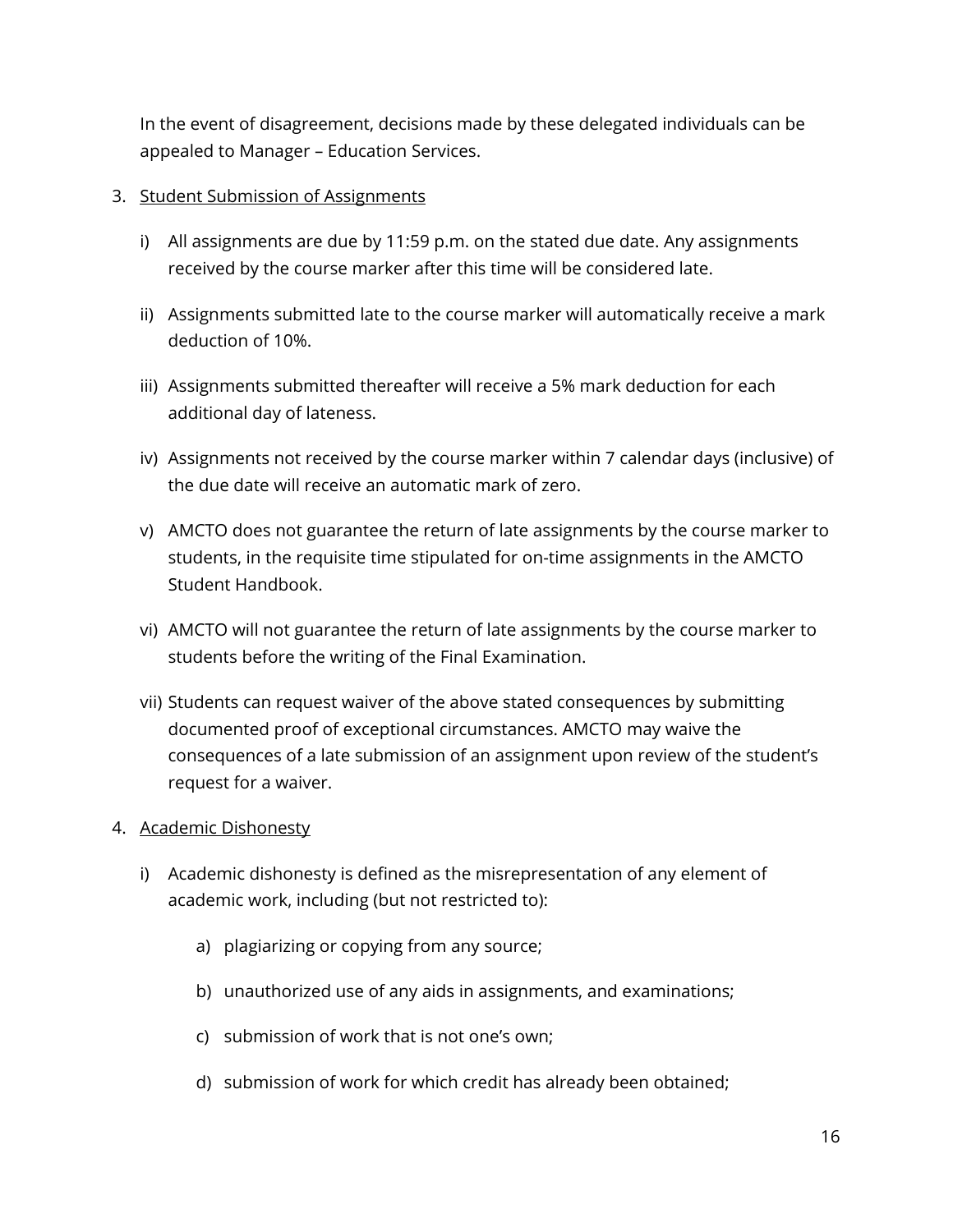In the event of disagreement, decisions made by these delegated individuals can be appealed to Manager – Education Services.

#### 3. Student Submission of Assignments

- i) All assignments are due by 11:59 p.m. on the stated due date. Any assignments received by the course marker after this time will be considered late.
- ii) Assignments submitted late to the course marker will automatically receive a mark deduction of 10%.
- iii) Assignments submitted thereafter will receive a 5% mark deduction for each additional day of lateness.
- iv) Assignments not received by the course marker within 7 calendar days (inclusive) of the due date will receive an automatic mark of zero.
- v) AMCTO does not guarantee the return of late assignments by the course marker to students, in the requisite time stipulated for on-time assignments in the AMCTO Student Handbook.
- vi) AMCTO will not guarantee the return of late assignments by the course marker to students before the writing of the Final Examination.
- vii) Students can request waiver of the above stated consequences by submitting documented proof of exceptional circumstances. AMCTO may waive the consequences of a late submission of an assignment upon review of the student's request for a waiver.

#### 4. Academic Dishonesty

- i) Academic dishonesty is defined as the misrepresentation of any element of academic work, including (but not restricted to):
	- a) plagiarizing or copying from any source;
	- b) unauthorized use of any aids in assignments, and examinations;
	- c) submission of work that is not one's own;
	- d) submission of work for which credit has already been obtained;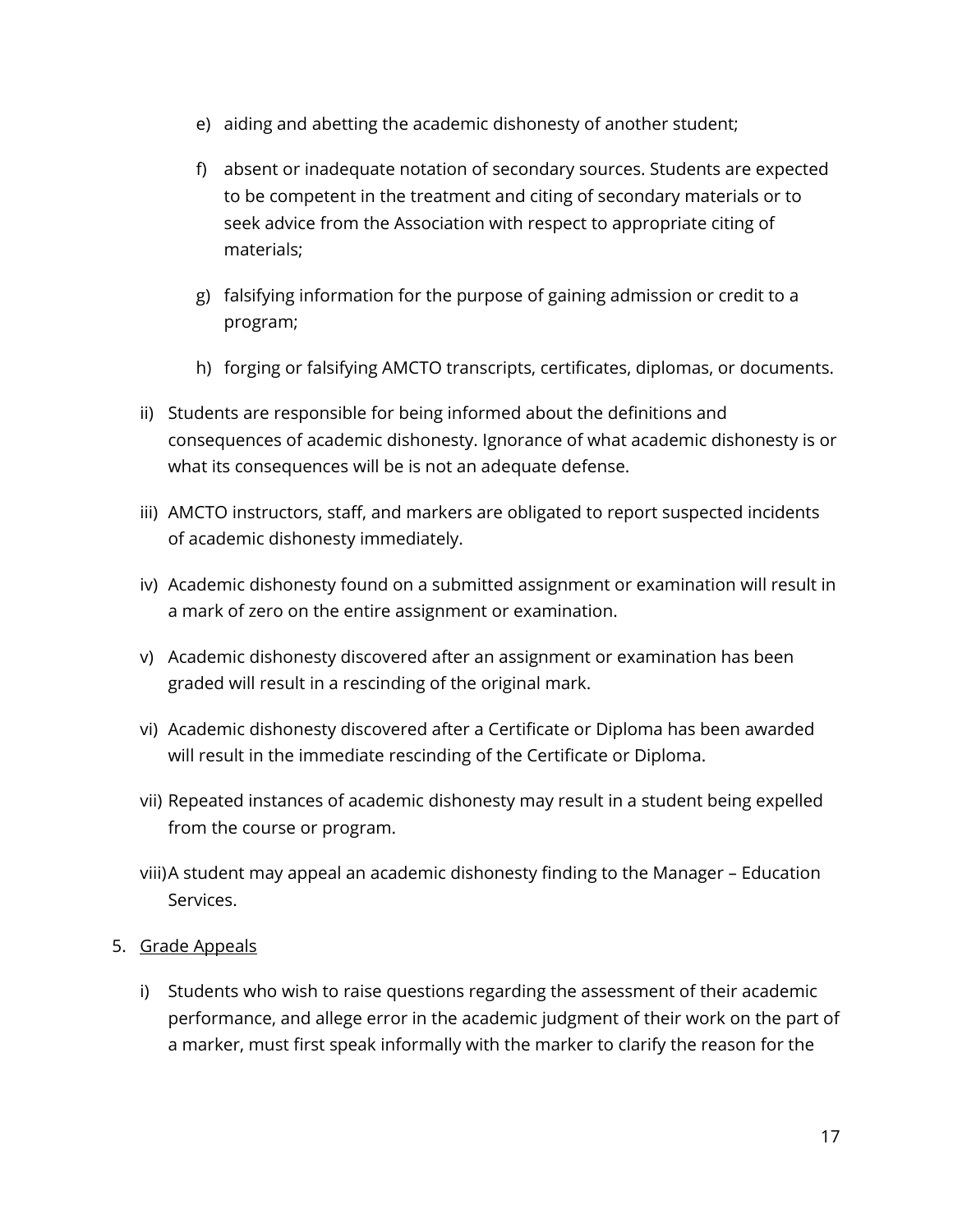- e) aiding and abetting the academic dishonesty of another student;
- f) absent or inadequate notation of secondary sources. Students are expected to be competent in the treatment and citing of secondary materials or to seek advice from the Association with respect to appropriate citing of materials;
- g) falsifying information for the purpose of gaining admission or credit to a program;
- h) forging or falsifying AMCTO transcripts, certificates, diplomas, or documents.
- ii) Students are responsible for being informed about the definitions and consequences of academic dishonesty. Ignorance of what academic dishonesty is or what its consequences will be is not an adequate defense.
- iii) AMCTO instructors, staff, and markers are obligated to report suspected incidents of academic dishonesty immediately.
- iv) Academic dishonesty found on a submitted assignment or examination will result in a mark of zero on the entire assignment or examination.
- v) Academic dishonesty discovered after an assignment or examination has been graded will result in a rescinding of the original mark.
- vi) Academic dishonesty discovered after a Certificate or Diploma has been awarded will result in the immediate rescinding of the Certificate or Diploma.
- vii) Repeated instances of academic dishonesty may result in a student being expelled from the course or program.
- viii)A student may appeal an academic dishonesty finding to the Manager Education Services.
- 5. Grade Appeals
	- i) Students who wish to raise questions regarding the assessment of their academic performance, and allege error in the academic judgment of their work on the part of a marker, must first speak informally with the marker to clarify the reason for the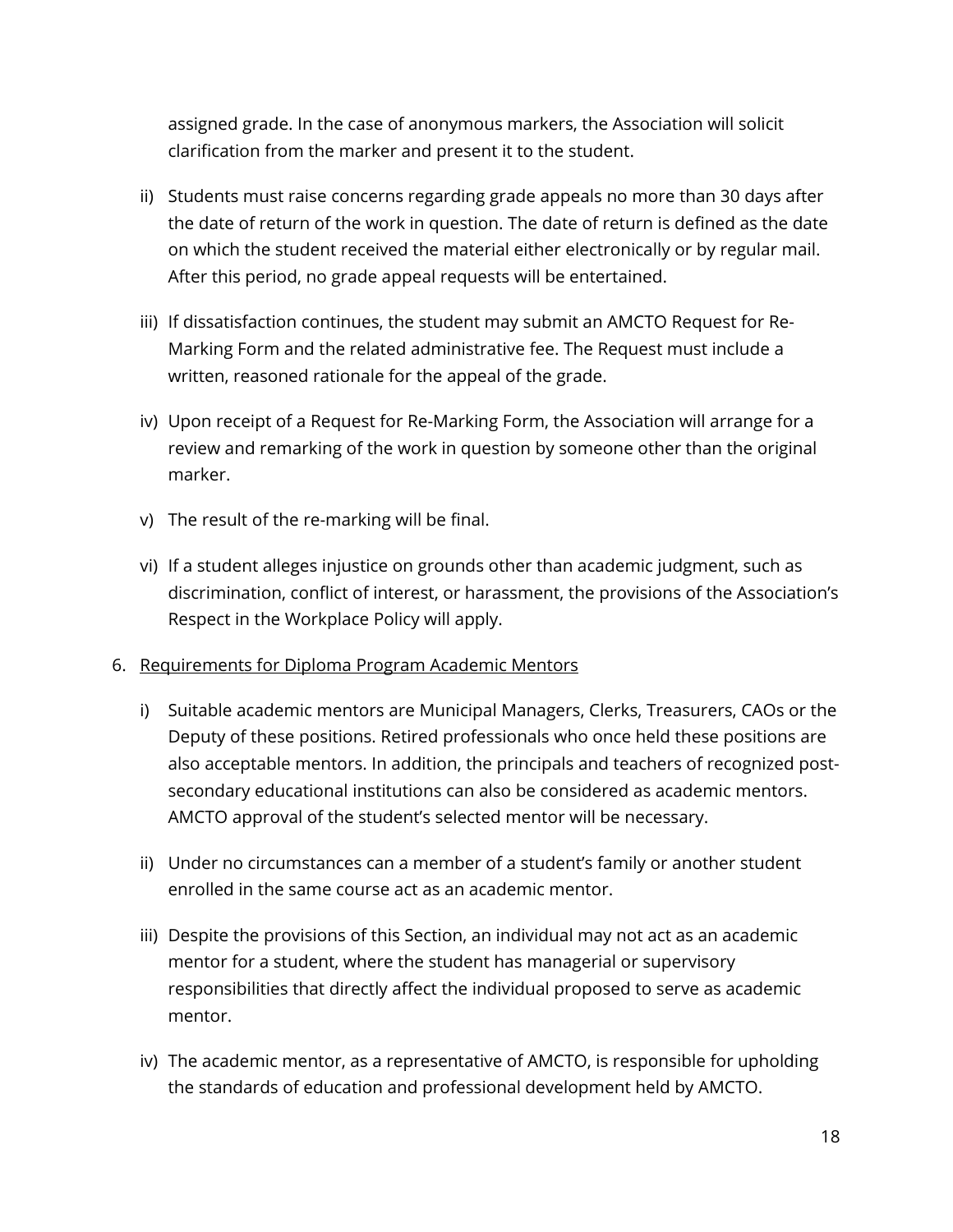assigned grade. In the case of anonymous markers, the Association will solicit clarification from the marker and present it to the student.

- ii) Students must raise concerns regarding grade appeals no more than 30 days after the date of return of the work in question. The date of return is defined as the date on which the student received the material either electronically or by regular mail. After this period, no grade appeal requests will be entertained.
- iii) If dissatisfaction continues, the student may submit an AMCTO Request for Re-Marking Form and the related administrative fee. The Request must include a written, reasoned rationale for the appeal of the grade.
- iv) Upon receipt of a Request for Re-Marking Form, the Association will arrange for a review and remarking of the work in question by someone other than the original marker.
- v) The result of the re-marking will be final.
- vi) If a student alleges injustice on grounds other than academic judgment, such as discrimination, conflict of interest, or harassment, the provisions of the Association's Respect in the Workplace Policy will apply.
- 6. Requirements for Diploma Program Academic Mentors
	- i) Suitable academic mentors are Municipal Managers, Clerks, Treasurers, CAOs or the Deputy of these positions. Retired professionals who once held these positions are also acceptable mentors. In addition, the principals and teachers of recognized postsecondary educational institutions can also be considered as academic mentors. AMCTO approval of the student's selected mentor will be necessary.
	- ii) Under no circumstances can a member of a student's family or another student enrolled in the same course act as an academic mentor.
	- iii) Despite the provisions of this Section, an individual may not act as an academic mentor for a student, where the student has managerial or supervisory responsibilities that directly affect the individual proposed to serve as academic mentor.
	- iv) The academic mentor, as a representative of AMCTO, is responsible for upholding the standards of education and professional development held by AMCTO.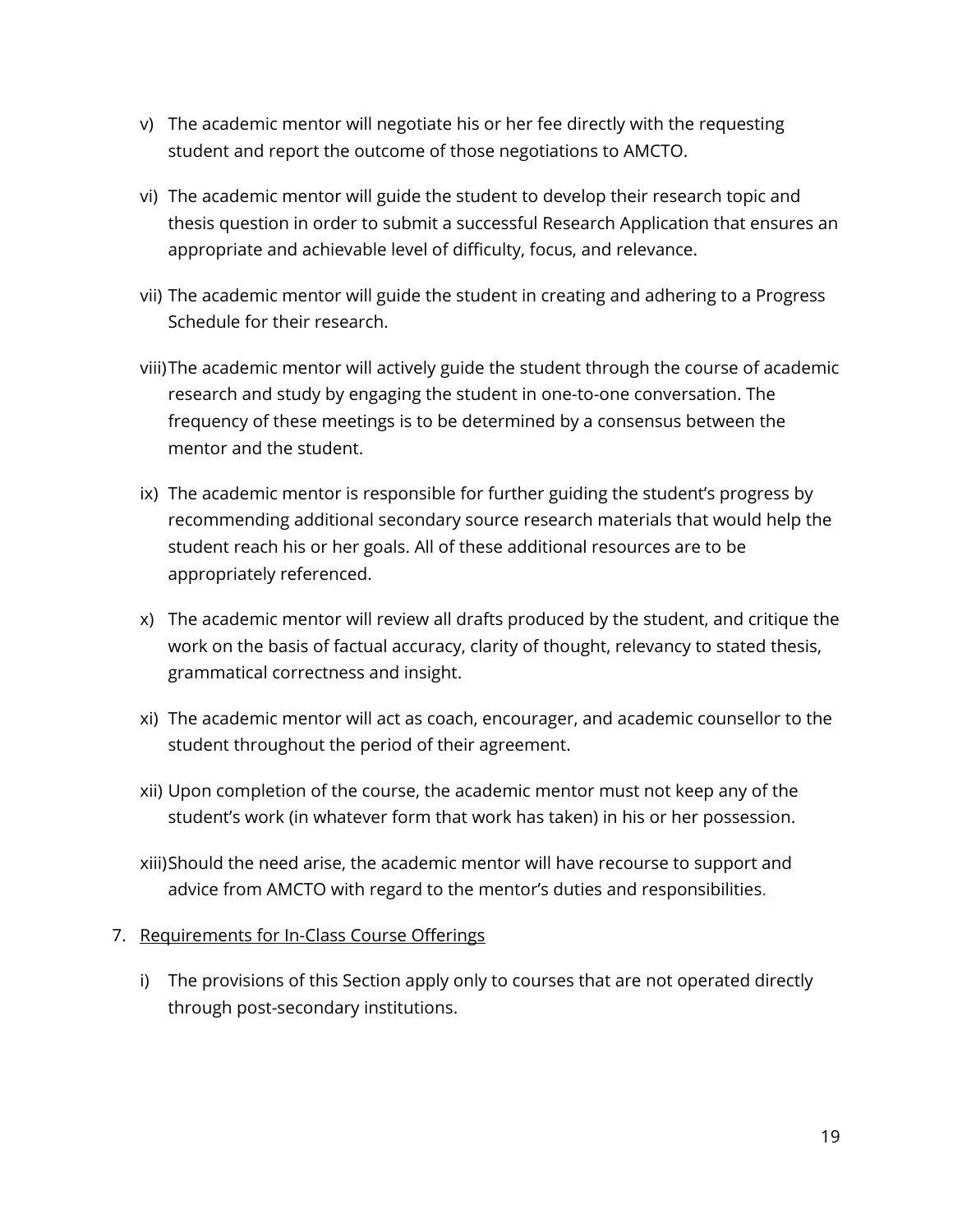- v) The academic mentor will negotiate his or her fee directly with the requesting student and report the outcome of those negotiations to AMCTO.
- vi) The academic mentor will guide the student to develop their research topic and thesis question in order to submit a successful Research Application that ensures an appropriate and achievable level of difficulty, focus, and relevance.
- vii) The academic mentor will guide the student in creating and adhering to a Progress Schedule for their research.
- viii)The academic mentor will actively guide the student through the course of academic research and study by engaging the student in one-to-one conversation. The frequency of these meetings is to be determined by a consensus between the mentor and the student.
- ix) The academic mentor is responsible for further guiding the student's progress by recommending additional secondary source research materials that would help the student reach his or her goals. All of these additional resources are to be appropriately referenced.
- x) The academic mentor will review all drafts produced by the student, and critique the work on the basis of factual accuracy, clarity of thought, relevancy to stated thesis, grammatical correctness and insight.
- xi) The academic mentor will act as coach, encourager, and academic counsellor to the student throughout the period of their agreement.
- xii) Upon completion of the course, the academic mentor must not keep any of the student's work (in whatever form that work has taken) in his or her possession.
- xiii)Should the need arise, the academic mentor will have recourse to support and advice from AMCTO with regard to the mentor's duties and responsibilities.

### 7. Requirements for In-Class Course Offerings

i) The provisions of this Section apply only to courses that are not operated directly through post-secondary institutions.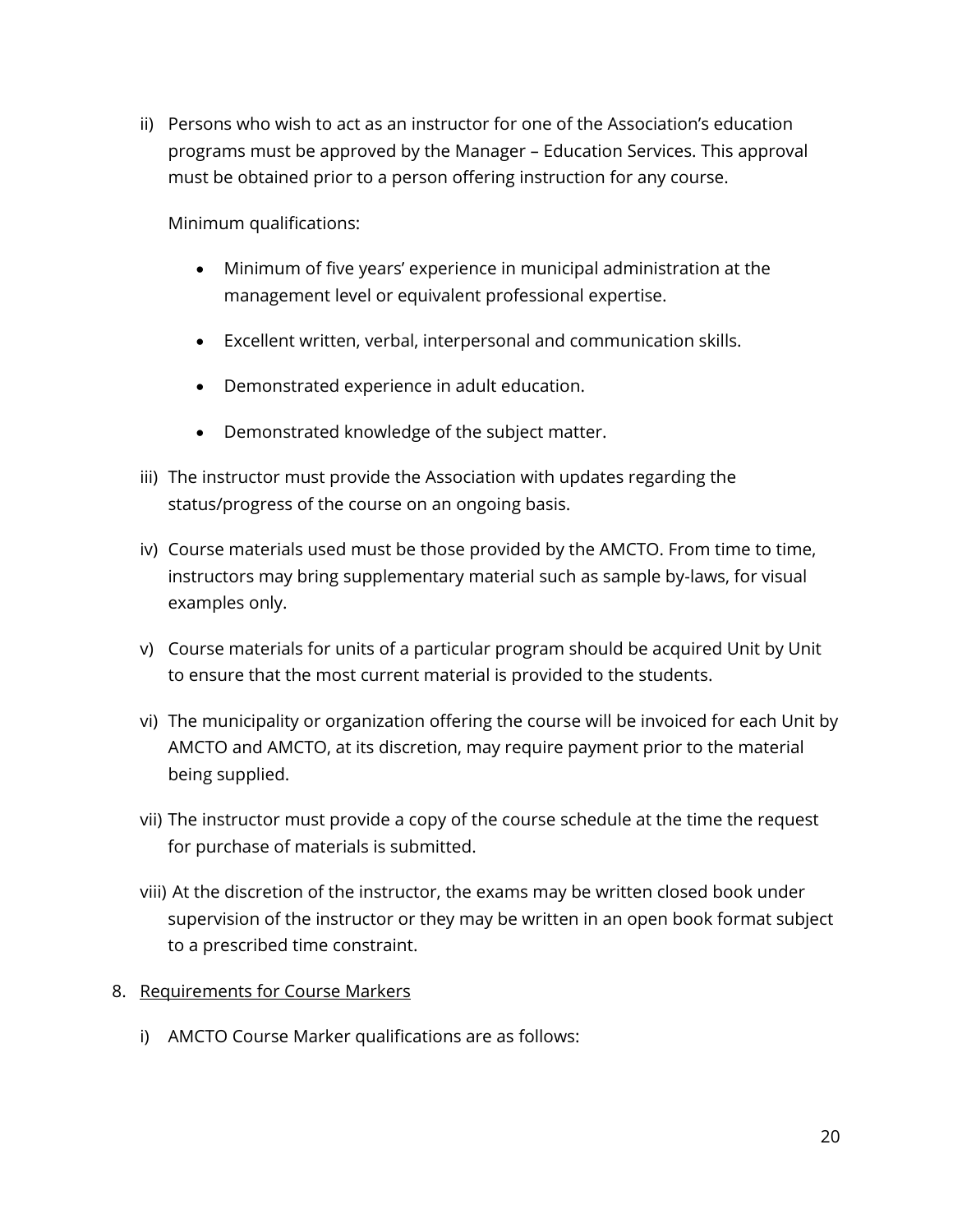ii) Persons who wish to act as an instructor for one of the Association's education programs must be approved by the Manager – Education Services. This approval must be obtained prior to a person offering instruction for any course.

Minimum qualifications:

- Minimum of five years' experience in municipal administration at the management level or equivalent professional expertise.
- Excellent written, verbal, interpersonal and communication skills.
- Demonstrated experience in adult education.
- Demonstrated knowledge of the subject matter.
- iii) The instructor must provide the Association with updates regarding the status/progress of the course on an ongoing basis.
- iv) Course materials used must be those provided by the AMCTO. From time to time, instructors may bring supplementary material such as sample by-laws, for visual examples only.
- v) Course materials for units of a particular program should be acquired Unit by Unit to ensure that the most current material is provided to the students.
- vi) The municipality or organization offering the course will be invoiced for each Unit by AMCTO and AMCTO, at its discretion, may require payment prior to the material being supplied.
- vii) The instructor must provide a copy of the course schedule at the time the request for purchase of materials is submitted.
- viii) At the discretion of the instructor, the exams may be written closed book under supervision of the instructor or they may be written in an open book format subject to a prescribed time constraint.

#### 8. Requirements for Course Markers

i) AMCTO Course Marker qualifications are as follows: